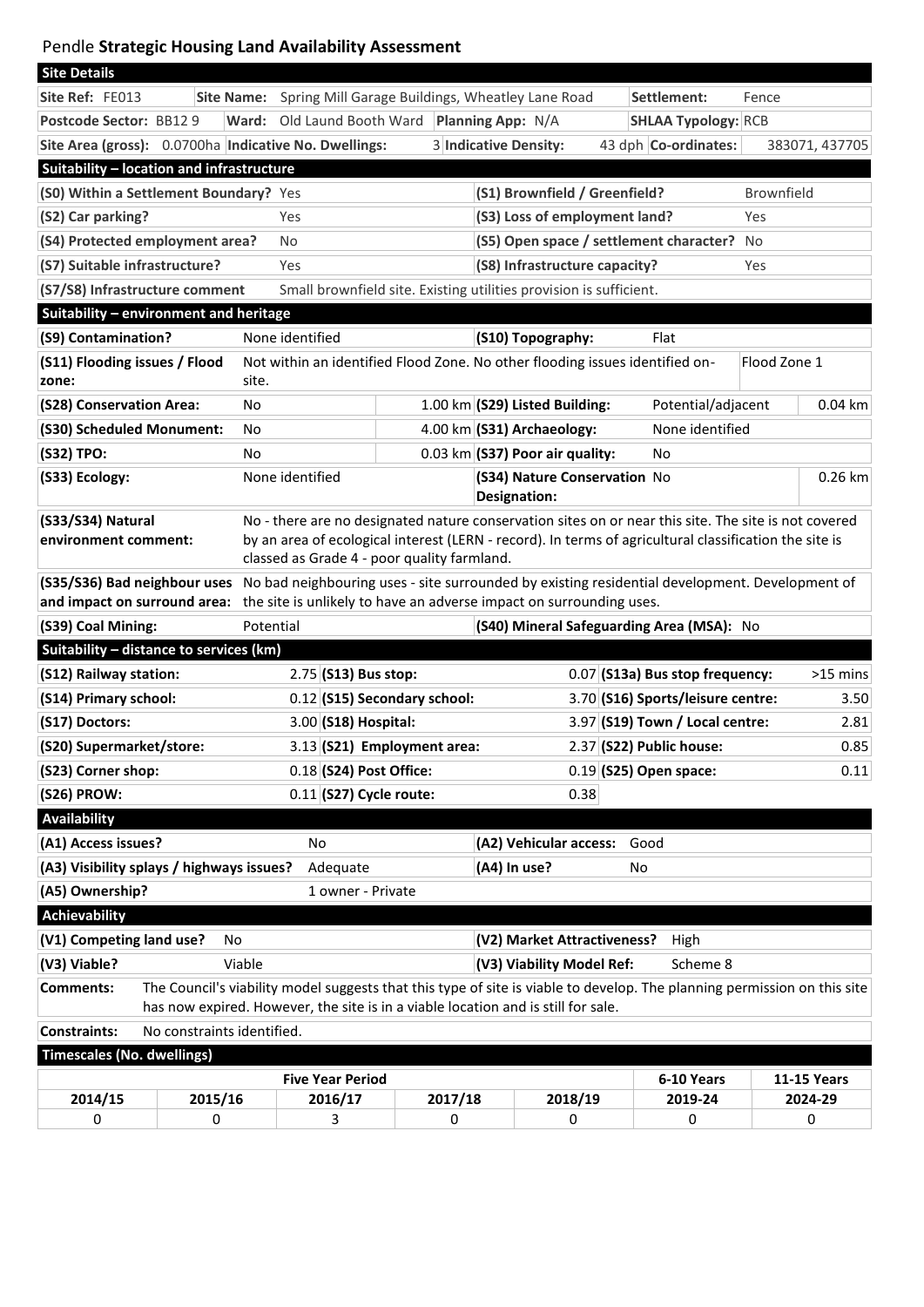## Pendle **Strategic Housing Land Availability Assessment**

| <b>Site Details</b>                                                                                                                                                                                                               |                                                                       |                                                       |                                                                 |                                 |                                           |                            |                   |                    |  |
|-----------------------------------------------------------------------------------------------------------------------------------------------------------------------------------------------------------------------------------|-----------------------------------------------------------------------|-------------------------------------------------------|-----------------------------------------------------------------|---------------------------------|-------------------------------------------|----------------------------|-------------------|--------------------|--|
| Site Ref: FE013                                                                                                                                                                                                                   | Spring Mill Garage Buildings, Wheatley Lane Road<br><b>Site Name:</b> |                                                       |                                                                 |                                 | Settlement:<br>Fence                      |                            |                   |                    |  |
| Postcode Sector: BB129                                                                                                                                                                                                            |                                                                       | Old Laund Booth Ward<br>Ward:                         |                                                                 |                                 | <b>Planning App: N/A</b>                  | <b>SHLAA Typology: RCB</b> |                   |                    |  |
|                                                                                                                                                                                                                                   |                                                                       | Site Area (gross): 0.0700ha Indicative No. Dwellings: |                                                                 |                                 | 3 Indicative Density:                     | 43 dph Co-ordinates:       |                   | 383071, 437705     |  |
| Suitability - location and infrastructure                                                                                                                                                                                         |                                                                       |                                                       |                                                                 |                                 |                                           |                            |                   |                    |  |
| (S0) Within a Settlement Boundary? Yes                                                                                                                                                                                            |                                                                       |                                                       |                                                                 |                                 | (S1) Brownfield / Greenfield?             |                            | <b>Brownfield</b> |                    |  |
| (S2) Car parking?                                                                                                                                                                                                                 |                                                                       | Yes                                                   |                                                                 |                                 | (S3) Loss of employment land?             |                            | Yes               |                    |  |
| (S4) Protected employment area?                                                                                                                                                                                                   | No                                                                    | (S5) Open space / settlement character?               |                                                                 |                                 |                                           | No                         |                   |                    |  |
| (S7) Suitable infrastructure?                                                                                                                                                                                                     |                                                                       | Yes                                                   | (S8) Infrastructure capacity?<br>Yes                            |                                 |                                           |                            |                   |                    |  |
| (S7/S8) Infrastructure comment<br>Small brownfield site. Existing utilities provision is sufficient.                                                                                                                              |                                                                       |                                                       |                                                                 |                                 |                                           |                            |                   |                    |  |
| Suitability - environment and heritage                                                                                                                                                                                            |                                                                       |                                                       |                                                                 |                                 |                                           |                            |                   |                    |  |
| (S9) Contamination?                                                                                                                                                                                                               |                                                                       | None identified                                       |                                                                 |                                 | (S10) Topography:                         | Flat                       |                   |                    |  |
| (S11) Flooding issues / Flood<br>Not within an identified Flood Zone. No other flooding issues identified on-<br>site.<br>zone:                                                                                                   |                                                                       |                                                       |                                                                 |                                 |                                           |                            | Flood Zone 1      |                    |  |
| (S28) Conservation Area:                                                                                                                                                                                                          | No                                                                    |                                                       |                                                                 |                                 | 1.00 km (S29) Listed Building:            | Potential/adjacent         |                   | $0.04$ km          |  |
| (S30) Scheduled Monument:                                                                                                                                                                                                         | No                                                                    |                                                       |                                                                 |                                 |                                           | None identified            |                   |                    |  |
| (S32) TPO:                                                                                                                                                                                                                        | No                                                                    |                                                       | 4.00 km (S31) Archaeology:<br>$0.03$ km (S37) Poor air quality: |                                 |                                           | No                         |                   |                    |  |
| (S33) Ecology:                                                                                                                                                                                                                    |                                                                       | None identified                                       |                                                                 |                                 | (S34) Nature Conservation No              |                            |                   | 0.26 km            |  |
|                                                                                                                                                                                                                                   |                                                                       |                                                       |                                                                 |                                 | <b>Designation:</b>                       |                            |                   |                    |  |
| (S33/S34) Natural<br>No - there are no designated nature conservation sites on or near this site. The site is not covered                                                                                                         |                                                                       |                                                       |                                                                 |                                 |                                           |                            |                   |                    |  |
| by an area of ecological interest (LERN - record). In terms of agricultural classification the site is<br>environment comment:                                                                                                    |                                                                       |                                                       |                                                                 |                                 |                                           |                            |                   |                    |  |
| classed as Grade 4 - poor quality farmland.                                                                                                                                                                                       |                                                                       |                                                       |                                                                 |                                 |                                           |                            |                   |                    |  |
| (S35/S36) Bad neighbour uses No bad neighbouring uses - site surrounded by existing residential development. Development of<br>and impact on surround area: the site is unlikely to have an adverse impact on surrounding uses.   |                                                                       |                                                       |                                                                 |                                 |                                           |                            |                   |                    |  |
| (S39) Coal Mining:                                                                                                                                                                                                                |                                                                       | (S40) Mineral Safeguarding Area (MSA): No             |                                                                 |                                 |                                           |                            |                   |                    |  |
| Suitability - distance to services (km)                                                                                                                                                                                           |                                                                       |                                                       |                                                                 |                                 |                                           |                            |                   |                    |  |
| (S12) Railway station:                                                                                                                                                                                                            | 2.75 (S13) Bus stop:                                                  |                                                       |                                                                 | 0.07 (S13a) Bus stop frequency: |                                           | $>15$ mins                 |                   |                    |  |
| (S14) Primary school:                                                                                                                                                                                                             |                                                                       | $0.12$ (S15) Secondary school:                        |                                                                 |                                 | 3.70 (S16) Sports/leisure centre:<br>3.50 |                            |                   |                    |  |
| (S17) Doctors:                                                                                                                                                                                                                    |                                                                       | $3.00$ (S18) Hospital:                                |                                                                 |                                 | 3.97 (S19) Town / Local centre:<br>2.81   |                            |                   |                    |  |
| (S20) Supermarket/store:                                                                                                                                                                                                          |                                                                       | $3.13$ (S21) Employment area:                         |                                                                 |                                 | 2.37 (S22) Public house:<br>0.85          |                            |                   |                    |  |
| (S23) Corner shop:                                                                                                                                                                                                                |                                                                       | $0.18$ (S24) Post Office:                             |                                                                 |                                 |                                           | $0.19$ (S25) Open space:   |                   | 0.11               |  |
| $0.11$ (S27) Cycle route:<br>(S26) PROW:<br>0.38                                                                                                                                                                                  |                                                                       |                                                       |                                                                 |                                 |                                           |                            |                   |                    |  |
| <b>Availability</b>                                                                                                                                                                                                               |                                                                       |                                                       |                                                                 |                                 |                                           |                            |                   |                    |  |
| (A1) Access issues?                                                                                                                                                                                                               |                                                                       | No                                                    |                                                                 |                                 | (A2) Vehicular access:                    | Good                       |                   |                    |  |
| (A3) Visibility splays / highways issues?<br>Adequate<br>(A4) In use?<br>No                                                                                                                                                       |                                                                       |                                                       |                                                                 |                                 |                                           |                            |                   |                    |  |
| (A5) Ownership?<br>1 owner - Private                                                                                                                                                                                              |                                                                       |                                                       |                                                                 |                                 |                                           |                            |                   |                    |  |
| <b>Achievability</b>                                                                                                                                                                                                              |                                                                       |                                                       |                                                                 |                                 |                                           |                            |                   |                    |  |
| (V1) Competing land use?<br>(V2) Market Attractiveness?<br>High<br>No                                                                                                                                                             |                                                                       |                                                       |                                                                 |                                 |                                           |                            |                   |                    |  |
| Viable<br>(V3) Viable?                                                                                                                                                                                                            |                                                                       |                                                       |                                                                 |                                 | (V3) Viability Model Ref:<br>Scheme 8     |                            |                   |                    |  |
| The Council's viability model suggests that this type of site is viable to develop. The planning permission on this site<br><b>Comments:</b><br>has now expired. However, the site is in a viable location and is still for sale. |                                                                       |                                                       |                                                                 |                                 |                                           |                            |                   |                    |  |
| No constraints identified.<br><b>Constraints:</b>                                                                                                                                                                                 |                                                                       |                                                       |                                                                 |                                 |                                           |                            |                   |                    |  |
| <b>Timescales (No. dwellings)</b>                                                                                                                                                                                                 |                                                                       |                                                       |                                                                 |                                 |                                           |                            |                   |                    |  |
| <b>Five Year Period</b>                                                                                                                                                                                                           |                                                                       |                                                       |                                                                 |                                 |                                           | 6-10 Years                 |                   | <b>11-15 Years</b> |  |
| 2014/15                                                                                                                                                                                                                           | 2015/16                                                               | 2016/17                                               | 2017/18                                                         |                                 | 2018/19                                   | 2019-24                    |                   | 2024-29            |  |
| 0                                                                                                                                                                                                                                 | 0                                                                     | 3                                                     | 0                                                               |                                 | 0                                         | 0                          |                   | 0                  |  |